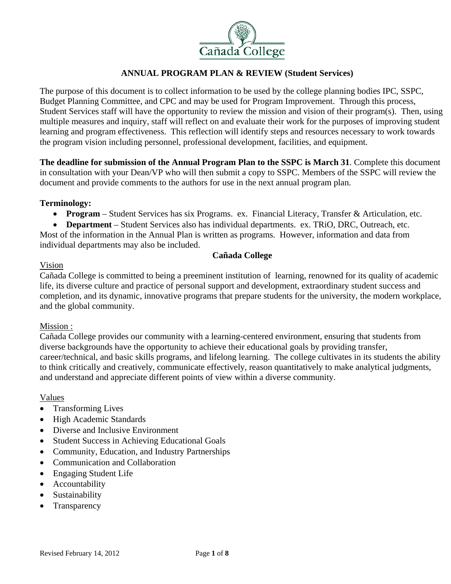

The purpose of this document is to collect information to be used by the college planning bodies IPC, SSPC, Budget Planning Committee, and CPC and may be used for Program Improvement. Through this process, Student Services staff will have the opportunity to review the mission and vision of their program(s). Then, using multiple measures and inquiry, staff will reflect on and evaluate their work for the purposes of improving student learning and program effectiveness. This reflection will identify steps and resources necessary to work towards the program vision including personnel, professional development, facilities, and equipment*.* 

**The deadline for submission of the Annual Program Plan to the SSPC is March 31**. Complete this document in consultation with your Dean/VP who will then submit a copy to SSPC. Members of the SSPC will review the document and provide comments to the authors for use in the next annual program plan.

# **Terminology:**

**Program** – Student Services has six Programs. ex. Financial Literacy, Transfer & Articulation, etc.

 **Department** – Student Services also has individual departments. ex. TRiO, DRC, Outreach, etc. Most of the information in the Annual Plan is written as programs. However, information and data from individual departments may also be included.

# **Cañada College**

# Vision

Cañada College is committed to being a preeminent institution of learning, renowned for its quality of academic life, its diverse culture and practice of personal support and development, extraordinary student success and completion, and its dynamic, innovative programs that prepare students for the university, the modern workplace, and the global community.

# Mission :

Cañada College provides our community with a learning-centered environment, ensuring that students from diverse backgrounds have the opportunity to achieve their educational goals by providing transfer, career/technical, and basic skills programs, and lifelong learning. The college cultivates in its students the ability to think critically and creatively, communicate effectively, reason quantitatively to make analytical judgments, and understand and appreciate different points of view within a diverse community.

# Values

- Transforming Lives
- High Academic Standards
- Diverse and Inclusive Environment
- Student Success in Achieving Educational Goals
- Community, Education, and Industry Partnerships
- Communication and Collaboration
- Engaging Student Life
- Accountability
- Sustainability
- Transparency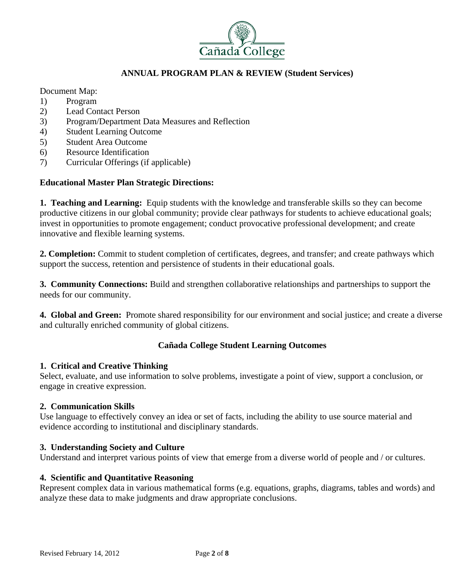

Document Map:

- 1) Program
- 2) Lead Contact Person
- 3) Program/Department Data Measures and Reflection
- 4) Student Learning Outcome
- 5) Student Area Outcome
- 6) Resource Identification
- 7) Curricular Offerings (if applicable)

# **Educational Master Plan Strategic Directions:**

**1. Teaching and Learning:** Equip students with the knowledge and transferable skills so they can become productive citizens in our global community; provide clear pathways for students to achieve educational goals; invest in opportunities to promote engagement; conduct provocative professional development; and create innovative and flexible learning systems.

**2. Completion:** Commit to student completion of certificates, degrees, and transfer; and create pathways which support the success, retention and persistence of students in their educational goals.

**3. Community Connections:** Build and strengthen collaborative relationships and partnerships to support the needs for our community.

**4. Global and Green:** Promote shared responsibility for our environment and social justice; and create a diverse and culturally enriched community of global citizens.

# **Cañada College Student Learning Outcomes**

# **1. Critical and Creative Thinking**

Select, evaluate, and use information to solve problems, investigate a point of view, support a conclusion, or engage in creative expression.

#### **2. Communication Skills**

Use language to effectively convey an idea or set of facts, including the ability to use source material and evidence according to institutional and disciplinary standards.

# **3. Understanding Society and Culture**

Understand and interpret various points of view that emerge from a diverse world of people and / or cultures.

# **4. Scientific and Quantitative Reasoning**

Represent complex data in various mathematical forms (e.g. equations, graphs, diagrams, tables and words) and analyze these data to make judgments and draw appropriate conclusions.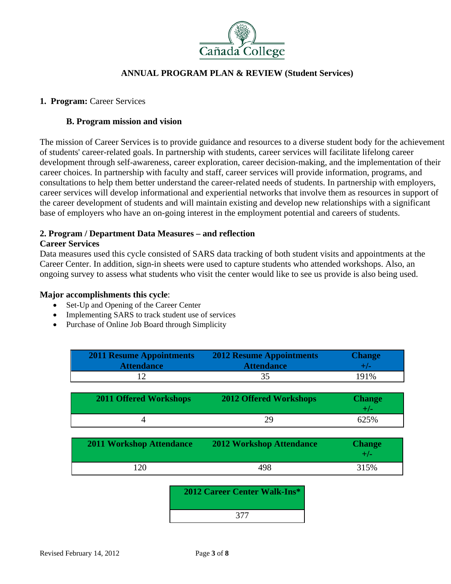

#### 1. Program: Career Services

#### **B. Program mission and vision**

The mission of Career Services is to provide guidance and resources to a diverse student body for the achievement of students' career-related goals. In partnership with students, career services will facilitate lifelong career development through self-awareness, career exploration, career decision-making, and the implementation of their career choices. In partnership with faculty and staff, career services will provide information, programs, and consultations to help them better understand the career-related needs of students. In partnership with employers, career services will develop informational and experiential networks that involve them as resources in support of the career development of students and will maintain existing and develop new relationships with a significant base of employers who have an on-going interest in the employment potential and careers of students.

#### **2. Program / Department Data Measures – and reflection**

#### **Career Services**

Data measures used this cycle consisted of SARS data tracking of both student visits and appointments at the Career Center. In addition, sign-in sheets were used to capture students who attended workshops. Also, an ongoing survey to assess what students who visit the center would like to see us provide is also being used.

#### **Major accomplishments this cycle**:

- Set-Up and Opening of the Career Center
- Implementing SARS to track student use of services
- Purchase of Online Job Board through Simplicity

| <b>2011 Resume Appointments</b><br><b>Attendance</b> | <b>2012 Resume Appointments</b><br><b>Attendance</b> | <b>Change</b><br>$+/-$ |
|------------------------------------------------------|------------------------------------------------------|------------------------|
| 12                                                   | 35                                                   | 191%                   |
|                                                      |                                                      |                        |
| <b>2011 Offered Workshops</b>                        | <b>2012 Offered Workshops</b>                        | <b>Change</b><br>$+/-$ |
| 4                                                    | 29                                                   | 625%                   |
|                                                      |                                                      |                        |
| <b>2011 Workshop Attendance</b>                      | <b>2012 Workshop Attendance</b>                      | <b>Change</b><br>$+/-$ |
| 120                                                  | 498                                                  | 315%                   |
| 2012 Career Center Walk-Ins*                         |                                                      |                        |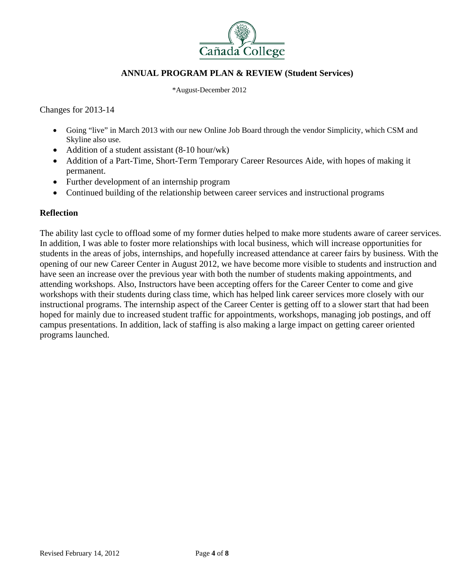

\*August-December 2012

Changes for 2013-14

- Going "live" in March 2013 with our new Online Job Board through the vendor Simplicity, which CSM and Skyline also use.
- Addition of a student assistant (8-10 hour/wk)
- Addition of a Part-Time, Short-Term Temporary Career Resources Aide, with hopes of making it permanent.
- Further development of an internship program
- Continued building of the relationship between career services and instructional programs

# **Reflection**

The ability last cycle to offload some of my former duties helped to make more students aware of career services. In addition, I was able to foster more relationships with local business, which will increase opportunities for students in the areas of jobs, internships, and hopefully increased attendance at career fairs by business. With the opening of our new Career Center in August 2012, we have become more visible to students and instruction and have seen an increase over the previous year with both the number of students making appointments, and attending workshops. Also, Instructors have been accepting offers for the Career Center to come and give workshops with their students during class time, which has helped link career services more closely with our instructional programs. The internship aspect of the Career Center is getting off to a slower start that had been hoped for mainly due to increased student traffic for appointments, workshops, managing job postings, and off campus presentations. In addition, lack of staffing is also making a large impact on getting career oriented programs launched.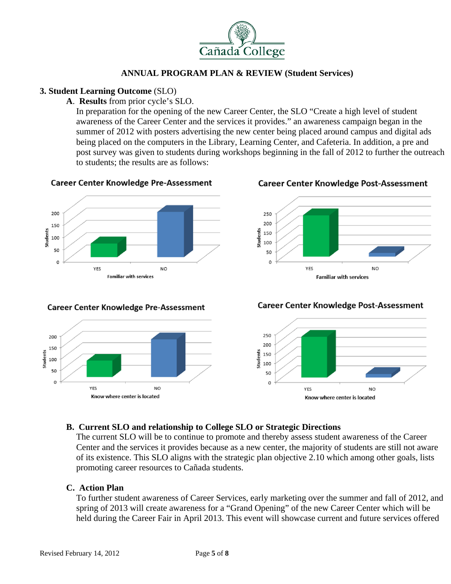

# **3. Student Learning Outcome** (SLO)

# **A**. **Results** from prior cycle's SLO.

In preparation for the opening of the new Career Center, the SLO "Create a high level of student awareness of the Career Center and the services it provides." an awareness campaign began in the summer of 2012 with posters advertising the new center being placed around campus and digital ads being placed on the computers in the Library, Learning Center, and Cafeteria. In addition, a pre and post survey was given to students during workshops beginning in the fall of 2012 to further the outreach to students; the results are as follows:

# **Career Center Knowledge Pre-Assessment**



#### **Career Center Knowledge Pre-Assessment**



#### **Career Center Knowledge Post-Assessment**



**Career Center Knowledge Post-Assessment** 



# **B. Current SLO and relationship to College SLO or Strategic Directions**

The current SLO will be to continue to promote and thereby assess student awareness of the Career Center and the services it provides because as a new center, the majority of students are still not aware of its existence. This SLO aligns with the strategic plan objective 2.10 which among other goals, lists promoting career resources to Cañada students.

# **C. Action Plan**

To further student awareness of Career Services, early marketing over the summer and fall of 2012, and spring of 2013 will create awareness for a "Grand Opening" of the new Career Center which will be held during the Career Fair in April 2013. This event will showcase current and future services offered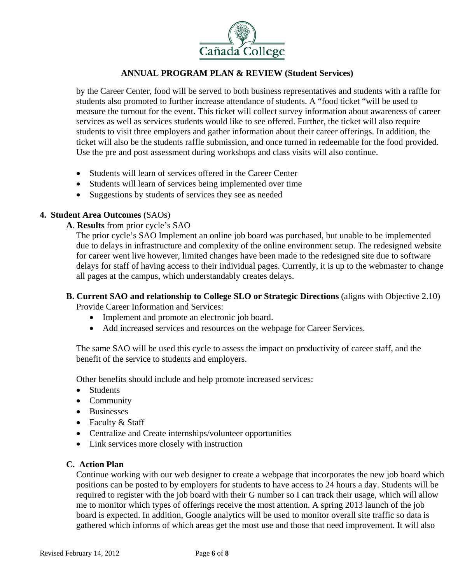

by the Career Center, food will be served to both business representatives and students with a raffle for students also promoted to further increase attendance of students. A "food ticket "will be used to measure the turnout for the event. This ticket will collect survey information about awareness of career services as well as services students would like to see offered. Further, the ticket will also require students to visit three employers and gather information about their career offerings. In addition, the ticket will also be the students raffle submission, and once turned in redeemable for the food provided. Use the pre and post assessment during workshops and class visits will also continue.

- Students will learn of services offered in the Career Center
- Students will learn of services being implemented over time
- Suggestions by students of services they see as needed

# **4. Student Area Outcomes** (SAOs)

**A**. **Results** from prior cycle's SAO

The prior cycle's SAO Implement an online job board was purchased, but unable to be implemented due to delays in infrastructure and complexity of the online environment setup. The redesigned website for career went live however, limited changes have been made to the redesigned site due to software delays for staff of having access to their individual pages. Currently, it is up to the webmaster to change all pages at the campus, which understandably creates delays.

**B. Current SAO and relationship to College SLO or Strategic Directions** (aligns with Objective 2.10)

Provide Career Information and Services:

- Implement and promote an electronic job board.
- Add increased services and resources on the webpage for Career Services.

The same SAO will be used this cycle to assess the impact on productivity of career staff, and the benefit of the service to students and employers.

Other benefits should include and help promote increased services:

- Students
- Community
- Businesses
- Faculty & Staff
- Centralize and Create internships/volunteer opportunities
- Link services more closely with instruction

#### **C. Action Plan**

Continue working with our web designer to create a webpage that incorporates the new job board which positions can be posted to by employers for students to have access to 24 hours a day. Students will be required to register with the job board with their G number so I can track their usage, which will allow me to monitor which types of offerings receive the most attention. A spring 2013 launch of the job board is expected. In addition, Google analytics will be used to monitor overall site traffic so data is gathered which informs of which areas get the most use and those that need improvement. It will also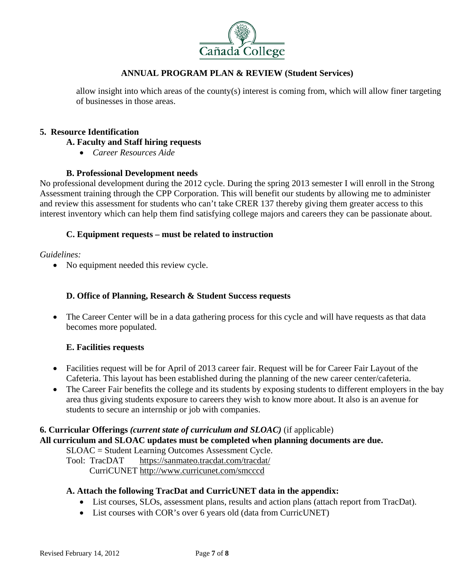

allow insight into which areas of the county(s) interest is coming from, which will allow finer targeting of businesses in those areas.

#### **5. Resource Identification**

#### **A. Faculty and Staff hiring requests**

*Career Resources Aide* 

# **B. Professional Development needs**

No professional development during the 2012 cycle. During the spring 2013 semester I will enroll in the Strong Assessment training through the CPP Corporation. This will benefit our students by allowing me to administer and review this assessment for students who can't take CRER 137 thereby giving them greater access to this interest inventory which can help them find satisfying college majors and careers they can be passionate about.

#### **C. Equipment requests – must be related to instruction**

*Guidelines:* 

• No equipment needed this review cycle.

# **D. Office of Planning, Research & Student Success requests**

• The Career Center will be in a data gathering process for this cycle and will have requests as that data becomes more populated.

# **E. Facilities requests**

- Facilities request will be for April of 2013 career fair. Request will be for Career Fair Layout of the Cafeteria. This layout has been established during the planning of the new career center/cafeteria.
- The Career Fair benefits the college and its students by exposing students to different employers in the bay area thus giving students exposure to careers they wish to know more about. It also is an avenue for students to secure an internship or job with companies.

# **6. Curricular Offerings** *(current state of curriculum and SLOAC)* (if applicable)

**All curriculum and SLOAC updates must be completed when planning documents are due.** 

SLOAC = Student Learning Outcomes Assessment Cycle.

 Tool: TracDAT https://sanmateo.tracdat.com/tracdat/ CurriCUNET http://www.curricunet.com/smcccd

# **A. Attach the following TracDat and CurricUNET data in the appendix:**

- List courses, SLOs, assessment plans, results and action plans (attach report from TracDat).
- List courses with COR's over 6 years old (data from CurricUNET)